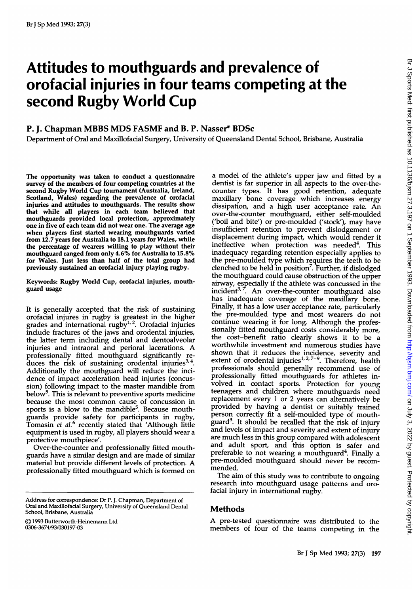# Attitudes to mouthguards and prevalence of orofacial injuries in four teams competing at the second Rugby World Cup

## P. J. Chapman MBBS MDS FASMF and B. P. Nasser\* BDSc

Department of Oral and Maxillofacial Surgery, University of Queensland Dental School, Brisbane, Australia

The opportunity was taken to conduct a questionnaire survey of the members of four competing countries at the second Rugby World Cup tournament (Australia, Ireland, Scotland, Wales) regarding the prevalence of orofacial injuries and attitudes to mouthguards. The results show that while all players in each team believed that mouthguards provided local protection, approximately one in five of each team did not wear one. The average age when players first started wearing mouthguards varied from 12.7 years for Australia to 18.1 years for Wales, while the percentage of wearers willing to play without their mouthguard ranged from only 4.6% for Australia to 15.8% for Wales. Just less than half of the total group had previously sustained an orofacial injury playing rugby.

Keywords: Rugby World Cup, orofacial injuries, mouthguard usage

It is generally accepted that the risk of sustaining orofacial injures in rugby is greatest in the higher grades and international rugby $1/2$ . Orofacial injuries include fractures of the jaws and orodental injuries, the latter term including dental and dentoalveolar injuries and intraoral and perioral lacerations. A professionally fitted mouthguard significantly reduces the risk of sustaining orodental injuries<sup>3,4</sup>. Additionally the mouthguard will reduce the incidence of impact acceleration head injuries (concussion) following impact to the master mandible from below5. This is relevant to preventive sports medicine because the most common cause of concussion in sports is a blow to the mandible<sup>5</sup>. Because mouthguards provide safety for participants in rugby, Tomasin et al.<sup>6</sup> recently stated that 'Although little equipment is used in rugby, all players should wear a protective mouthpiece'.

Over-the-counter and professionally fitted mouthguards have a similar design and are made of similar material but provide different levels of protection. A professionally fitted mouthguard which is formed on

(©) 1993 Butterworth-Heinemann Ltd 0306-3674/93/030197-03

a model of the athlete's upper jaw and fitted by a dentist is far superior in all aspects to the over-thecounter types. It has good retention, adequate maxillary bone coverage which increases energy dissipation, and <sup>a</sup> high user acceptance rate. An over-the-counter mouthguard, either self-moulded ('boil and bite') or pre-moulded ('stock'), may have insufficient retention to prevent dislodgement or displacement during impact, which would render it ineffective when protection was needed<sup>4</sup>. This inadequacy regarding retention especially applies to the pre-moulded type which requires the teeth to be clenched to be held in position<sup>7</sup>. Further, if dislodged the mouthguard could cause obstruction of the upper airway, especially if the athlete was concussed in the incident $3$ ,  $\vec{r}$ . An over-the-counter mouthguard also has inadequate coverage of the maxillary bone. Finally, it has a low user acceptance rate, particularly the pre-moulded type and most wearers do not continue wearing it for long. Although the professionally fitted mouthguard costs considerably more, the cost-benefit ratio clearly shows it to be a worthwhile investment and numerous studies have shown that it reduces the incidence, severity and extent of orodental injuries $^{1,2,7-9}$ . Therefore, health professionals should generally recommend use of professionally fitted mouthguards for athletes involved in contact sports. Protection for young teenagers and children where mouthguards need replacement every 1 or 2 years can alternatively be provided by having a dentist or suitably trained person correctly fit a self-moulded type of mouthguard<sup>3</sup>. It should be recalled that the risk of injury and levels of impact and severity and extent of injury are much less in this group compared with adolescent and adult sport, and this option is safer and preferable to not wearing a mouthguard<sup>4</sup>. Finally a pre-moulded mouthguard should never be recommended.

The aim of this study was to contribute to ongoing research into mouthguard usage patterns and orofacial injury in international rugby.

#### Methods

A pre-tested questionnaire was distributed to the members of four of the teams competing in the

Address for correspondence: Dr P. J. Chapman, Department of Oral and Maxillofacial Surgery, University of Queensland Dental School. Brisbane, Australia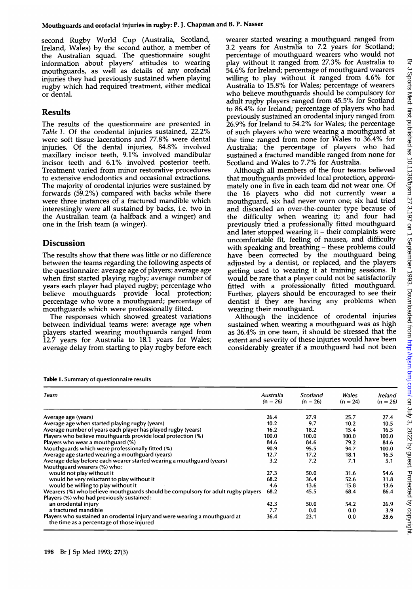second Rugby World Cup (Australia, Scotland, Ireland, Wales) by the second author, a member of the Australian squad. The questionnaire sought information about players' attitudes to wearing mouthguards, as well as details of any orofacial injuries they had previously sustained when playing rugby which had required treatment, either medical or dental.

### Results

The results of the questionnaire are presented in Table 1. Of the orodental injuries sustained, 22.2% were soft tissue lacerations and 77.8% were dental injuries. Of the dental injuries, 84.8% involved maxillary incisor teeth, 9.1% involved mandibular incisor teeth and 6.1% involved posterior teeth. Treatment varied from minor restorative procedures to extensive endodontics and occasional extractions. The majority of orodental injuries were sustained by forwards (59.2%) compared with backs while there were three instances of a fractured mandible which interestingly were all sustained by backs, i.e. two in the Australian team (a halfback and a winger) and one in the Irish team (a winger).

# Discussion

The results show that there was little or no difference between the teams regarding the following aspects of the questionnaire: average age of players; average age when first started playing rugby; average number of years each player had played rugby; percentage who believe mouthguards provide local protection; percentage who wore a mouthguard; percentage of mouthguards which were professionally fitted.

The responses which showed greatest variations between individual teams were: average age when players started wearing mouthguards ranged from 12.7 years for Australia to 18.1 years for Wales; average delay from starting to play rugby before each

Table 1. Summary of questionnaire results

wearer started wearing a mouthguard ranged from 3.2 years for Australia to 7.2 years for Scotland; percentage of mouthguard wearers who would not play without it ranged from 27.3% for Australia to 54.6% for Ireland; percentage of mouthguard wearers willing to play without it ranged from 4.6% for Australia to 15.8% for Wales; percentage of wearers who believe mouthguards should be compulsory for adult rugby players ranged from 45.5% for Scotland to 86.4% for Ireland; percentage of players who had previously sustained an orodental injury ranged from 26.9% for Ireland to 54.2% for Wales; the percentage of such players who were wearing <sup>a</sup> mouthguard at the time ranged from none for Wales to 36.4% for Australia; the percentage of players who had sustained a fractured mandible ranged from none for Scotland and Wales to 7.7% for Australia.

Although all members of the four teams believed that mouthguards provided local protection, approximately one in five in each team did not wear one. Of the 16 players who did not currently wear <sup>a</sup> mouthguard, six had never worn one; six had tried and discarded an over-the-counter type because of the difficulty when wearing it; and four had previously tried a professionally fitted mouthguard and later stopped wearing it  $-$  their complaints were uncomfortable fit, feeling of nausea, and difficulty with speaking and breathing – these problems could have been corrected by the mouthguard being adjusted by a dentist, or replaced, and the players getting used to wearing it at training sessions. It would be rare that a player could not be satisfactorily fitted with a professionally fitted mouthguard. Further, players should be encouraged to see their dentist if they are having any problems when wearing their mouthguard.

Although the incidence of orodental injuries sustained when wearing <sup>a</sup> mouthguard was as high as 36.4% in one team, it should be stressed that the extent and severity of these injuries would have been considerably greater if a mouthguard had not been

| Team                                                                                                                    | Australia<br>$(n = 26)$ | Scotland<br>$(n = 26)$ | Wales<br>$(n = 24)$ | Ireland<br>$(n = 26)$ |
|-------------------------------------------------------------------------------------------------------------------------|-------------------------|------------------------|---------------------|-----------------------|
| Average age (years)                                                                                                     | 26.4                    | 27.9                   | 25.7                | 27.4                  |
| Average age when started playing rugby (years)                                                                          | 10.2                    | 9.7                    | 10.2                | 10.5                  |
| Average number of years each player has played rugby (years)                                                            | 16.2                    | 18.2                   | 15.4                | 16.5                  |
| Players who believe mouthguards provide local protection (%)                                                            | 100.0                   | 100.0                  | 100.0               | 100.0                 |
| Players who wear a mouthguard (%)                                                                                       | 84.6                    | 84.6                   | 79.2                | 84.6                  |
| Mouthguards which were professionally fitted (%)                                                                        | 90.9                    | 95.5                   | 94.7                | 100.0                 |
| Average age started wearing a mouthguard (years)                                                                        | 12.7                    | 17.2                   | 18.1                | 16.5                  |
| Average delay before each wearer started wearing a mouthguard (years)                                                   | 3.2                     | 7.2                    | 7.1                 | 5.1                   |
| Mouthguard wearers (%) who:                                                                                             |                         |                        |                     |                       |
| would not play without it                                                                                               | 27.3                    | 50.0                   | 31.6                | 54.6                  |
| would be very reluctant to play without it                                                                              | 68.2                    | 36.4                   | 52.6                | 31.8                  |
| would be willing to play without it                                                                                     | 4.6                     | 13.6                   | 15.8                | 13.6                  |
| Wearers (%) who believe mouthguards should be compulsory for adult rugby players                                        | 68.2                    | 45.5                   | 68.4                | 86.4                  |
| Players (%) who had previously sustained:                                                                               |                         |                        |                     |                       |
| an orodental injury                                                                                                     | 42.3                    | 50.0                   | 54.2                | 26.9                  |
| a fractured mandible                                                                                                    | 7.7                     | 0.0                    | 0.0                 | 3.9                   |
| Players who sustained an orodental injury and were wearing a mouthguard at<br>the time as a percentage of those injured | 36.4                    | 23.1                   | 0.0                 | 28.6                  |